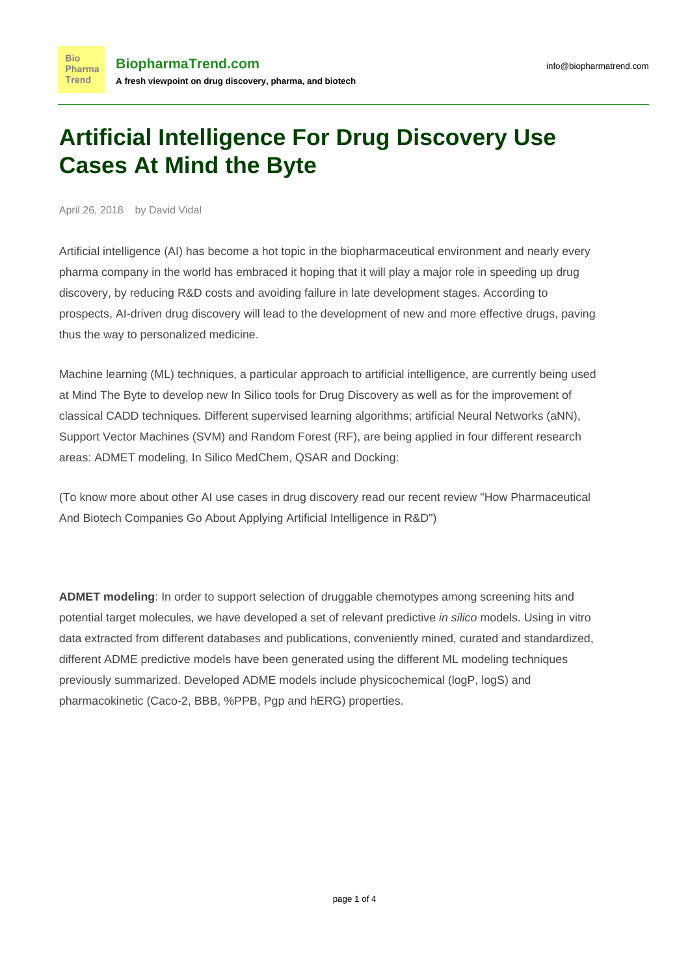## **Artificial Intelligence For Drug Discovery Use Cases At Mind the Byte**

April 26, 2018 by David Vidal

**Bio** 

**Trend** 

Artificial intelligence (AI) has become a hot topic in the biopharmaceutical environment and nearly every pharma company in the world has embraced it hoping that it will play a major role in speeding up drug discovery, by reducing R&D costs and avoiding failure in late development stages. According to prospects, AI-driven drug discovery will lead to the development of new and more effective drugs, paving thus the way to personalized medicine.

Machine learning (ML) techniques, a particular approach to artificial intelligence, are currently being used at Mind The Byte to develop new In Silico tools for Drug Discovery as well as for the improvement of classical CADD techniques. Different supervised learning algorithms; artificial Neural Networks (aNN), Support Vector Machines (SVM) and Random Forest (RF), are being applied in four different research areas: ADMET modeling, In Silico MedChem, QSAR and Docking:

(To know more about other AI use cases in drug discovery read our recent review ["How Pharmaceutical](https://www.biopharmatrend.com/post/34-biopharmas-hunt-for-artificial-intelligence-who-does-what/) [And Biotech Companies Go About Applying Artificial Intelligence in R&D](https://www.biopharmatrend.com/post/34-biopharmas-hunt-for-artificial-intelligence-who-does-what/)")

**ADMET modeling**: In order to support selection of druggable chemotypes among screening hits and potential target molecules, we have developed a set of relevant predictive in silico models. Using in vitro data extracted from different databases and publications, conveniently mined, curated and standardized, different ADME predictive models have been generated using the different ML modeling techniques previously summarized. Developed ADME models include physicochemical (logP, logS) and pharmacokinetic (Caco-2, BBB, %PPB, Pgp and hERG) properties.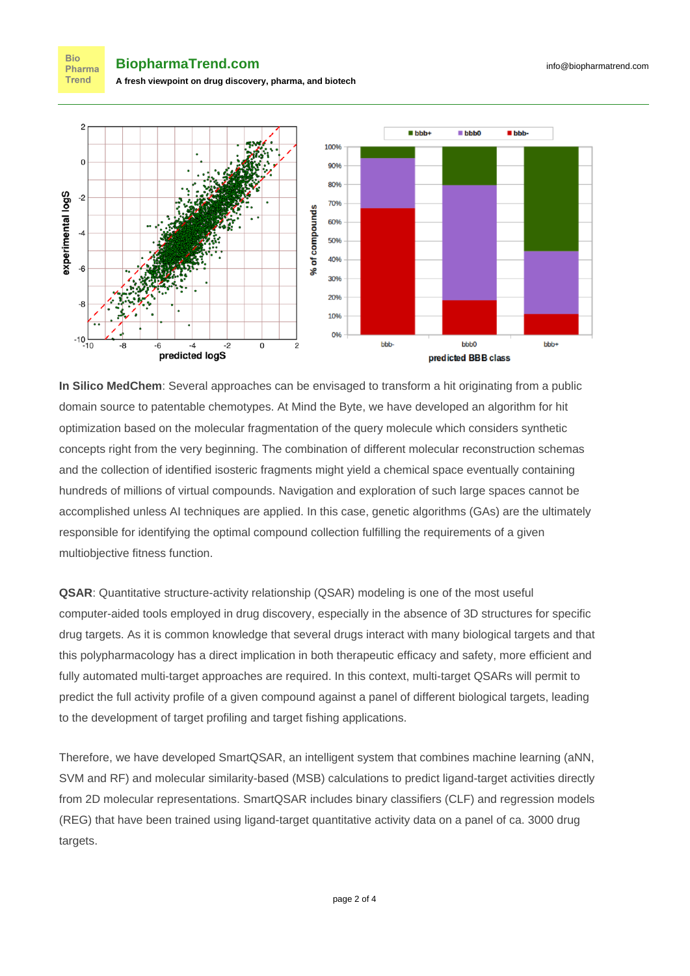**BiopharmaTrend.com A fresh viewpoint on drug discovery, pharma, and biotech**

**Bio** Pharma **Trend** 



**In Silico MedChem**: Several approaches can be envisaged to transform a hit originating from a public domain source to patentable chemotypes. At Mind the Byte, we have developed an algorithm for hit optimization based on the molecular fragmentation of the query molecule which considers synthetic concepts right from the very beginning. The combination of different molecular reconstruction schemas and the collection of identified isosteric fragments might yield a chemical space eventually containing hundreds of millions of virtual compounds. Navigation and exploration of such large spaces cannot be accomplished unless AI techniques are applied. In this case, genetic algorithms (GAs) are the ultimately responsible for identifying the optimal compound collection fulfilling the requirements of a given multiobjective fitness function.

**QSAR**: Quantitative structure-activity relationship (QSAR) modeling is one of the most useful computer-aided tools employed in drug discovery, especially in the absence of 3D structures for specific drug targets. As it is common knowledge that several drugs interact with many biological targets and that this polypharmacology has a direct implication in both therapeutic efficacy and safety, more efficient and fully automated multi-target approaches are required. In this context, multi-target QSARs will permit to predict the full activity profile of a given compound against a panel of different biological targets, leading to the development of target profiling and target fishing applications.

Therefore, we have developed SmartQSAR, an intelligent system that combines machine learning (aNN, SVM and RF) and molecular similarity-based (MSB) calculations to predict ligand-target activities directly from 2D molecular representations. SmartQSAR includes binary classifiers (CLF) and regression models (REG) that have been trained using ligand-target quantitative activity data on a panel of ca. 3000 drug targets.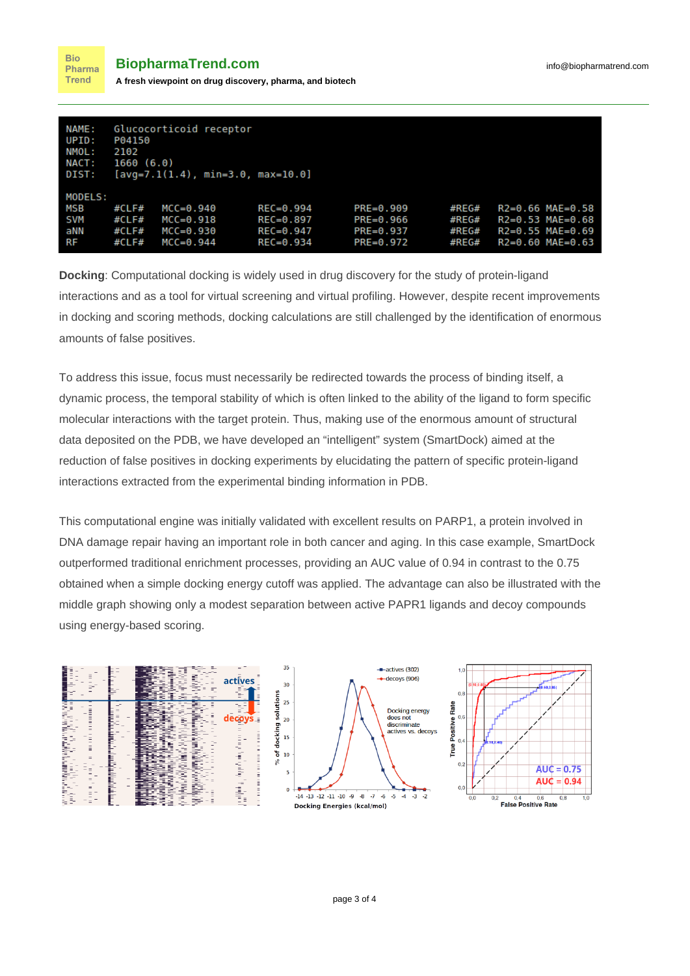**Bio** 

| <b>NAME:</b>                                     | Glucocorticoid receptor                  |                                                                |                                                                  |                                                                  |                                          |                                                                                      |
|--------------------------------------------------|------------------------------------------|----------------------------------------------------------------|------------------------------------------------------------------|------------------------------------------------------------------|------------------------------------------|--------------------------------------------------------------------------------------|
| UPID:                                            | P04150                                   |                                                                |                                                                  |                                                                  |                                          |                                                                                      |
| NMOL:                                            | 2102                                     |                                                                |                                                                  |                                                                  |                                          |                                                                                      |
| <b>NACT:</b>                                     | 1660(6.0)                                |                                                                |                                                                  |                                                                  |                                          |                                                                                      |
| DIST:                                            | $[avg=7.1(1.4)$ , min=3.0, max=10.0]     |                                                                |                                                                  |                                                                  |                                          |                                                                                      |
| MODELS:<br>MSB<br><b>SVM</b><br>aNN<br><b>RF</b> | #CLF#<br>#CLF#<br>#CLF#<br>$\#CL$ F $\#$ | $MCC = 0.940$<br>$MCC=0.918$<br>$MCC = 0.930$<br>$MCC = 0.944$ | $REC = 0.994$<br>$REC = 0.897$<br>$REC = 0.947$<br>$REC = 0.934$ | $PRE = 0.909$<br>$PRE = 0.966$<br>$PRE = 0.937$<br>$PRE = 0.972$ | $\#$ REG#<br>#REG#<br>#REG#<br>$\#$ REG# | $R2=0.66$ MAE=0.58<br>$R2=0.53$ MAE=0.68<br>$R2=0.55$ MAE=0.69<br>$R2=0.60$ MAE=0.63 |

**Docking**: Computational docking is widely used in drug discovery for the study of protein-ligand interactions and as a tool for virtual screening and virtual profiling. However, despite recent improvements in docking and scoring methods, docking calculations are still challenged by the identification of enormous amounts of false positives.

To address this issue, focus must necessarily be redirected towards the process of binding itself, a dynamic process, the temporal stability of which is often linked to the ability of the ligand to form specific molecular interactions with the target protein. Thus, making use of the enormous amount of structural data deposited on the PDB, we have developed an "intelligent" system (SmartDock) aimed at the reduction of false positives in docking experiments by elucidating the pattern of specific protein-ligand interactions extracted from the experimental binding information in PDB.

This computational engine was initially validated with excellent results on PARP1, a protein involved in DNA damage repair having an important role in both cancer and aging. In this case example, SmartDock outperformed traditional enrichment processes, providing an AUC value of 0.94 in contrast to the 0.75 obtained when a simple docking energy cutoff was applied. The advantage can also be illustrated with the middle graph showing only a modest separation between active PAPR1 ligands and decoy compounds using energy-based scoring.